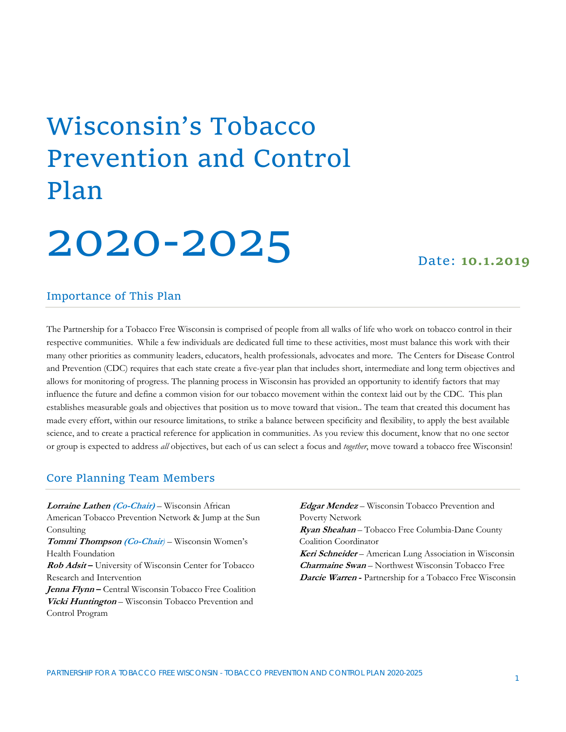## Wisconsin's Tobacco Prevention and Control Plan

# 2020‐2025 Date: **10.1.2019**

#### Importance of This Plan

The Partnership for a Tobacco Free Wisconsin is comprised of people from all walks of life who work on tobacco control in their respective communities. While a few individuals are dedicated full time to these activities, most must balance this work with their many other priorities as community leaders, educators, health professionals, advocates and more. The Centers for Disease Control and Prevention (CDC) requires that each state create a five-year plan that includes short, intermediate and long term objectives and allows for monitoring of progress. The planning process in Wisconsin has provided an opportunity to identify factors that may influence the future and define a common vision for our tobacco movement within the context laid out by the CDC. This plan establishes measurable goals and objectives that position us to move toward that vision.. The team that created this document has made every effort, within our resource limitations, to strike a balance between specificity and flexibility, to apply the best available science, and to create a practical reference for application in communities. As you review this document, know that no one sector or group is expected to address *all* objectives, but each of us can select a focus and *together*, move toward a tobacco free Wisconsin!

#### Core Planning Team Members

**Lorraine Lathen (Co-Chair)** – Wisconsin African American Tobacco Prevention Network & Jump at the Sun Consulting **Tommi Thompson (Co-Chair***)* – Wisconsin Women's Health Foundation **Rob Adsit –** University of Wisconsin Center for Tobacco Research and Intervention **Jenna Flynn –** Central Wisconsin Tobacco Free Coalition **Vicki Huntington** – Wisconsin Tobacco Prevention and Control Program

**Edgar Mendez** – Wisconsin Tobacco Prevention and Poverty Network **Ryan Sheahan** – Tobacco Free Columbia-Dane County

Coalition Coordinator **Keri Schneider** – American Lung Association in Wisconsin **Charmaine Swan** – Northwest Wisconsin Tobacco Free **Darcie Warren -** Partnership for a Tobacco Free Wisconsin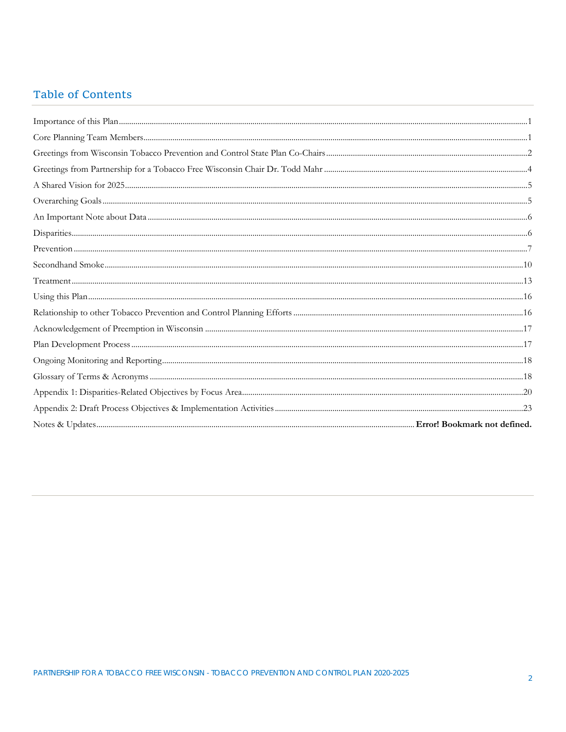#### Table of Contents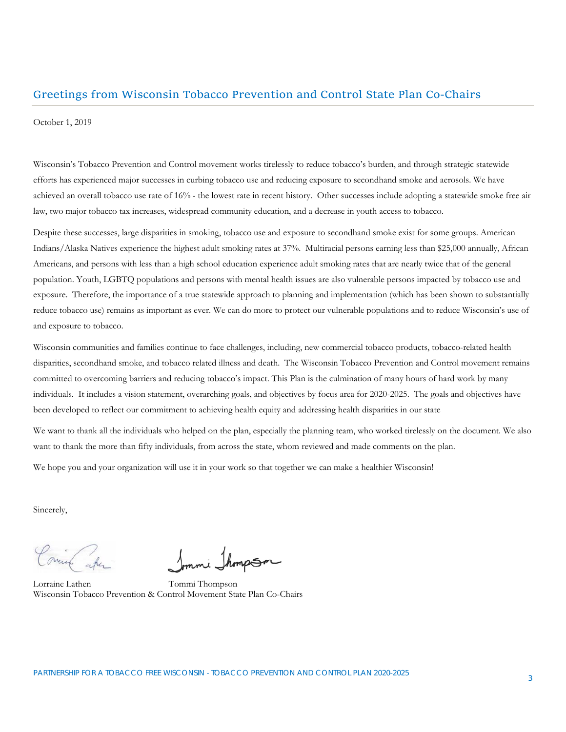#### Greetings from Wisconsin Tobacco Prevention and Control State Plan Co‐Chairs

October 1, 2019

Wisconsin's Tobacco Prevention and Control movement works tirelessly to reduce tobacco's burden, and through strategic statewide efforts has experienced major successes in curbing tobacco use and reducing exposure to secondhand smoke and aerosols. We have achieved an overall tobacco use rate of 16% - the lowest rate in recent history. Other successes include adopting a statewide smoke free air law, two major tobacco tax increases, widespread community education, and a decrease in youth access to tobacco.

Despite these successes, large disparities in smoking, tobacco use and exposure to secondhand smoke exist for some groups. American Indians/Alaska Natives experience the highest adult smoking rates at 37%. Multiracial persons earning less than \$25,000 annually, African Americans, and persons with less than a high school education experience adult smoking rates that are nearly twice that of the general population. Youth, LGBTQ populations and persons with mental health issues are also vulnerable persons impacted by tobacco use and exposure. Therefore, the importance of a true statewide approach to planning and implementation (which has been shown to substantially reduce tobacco use) remains as important as ever. We can do more to protect our vulnerable populations and to reduce Wisconsin's use of and exposure to tobacco.

Wisconsin communities and families continue to face challenges, including, new commercial tobacco products, tobacco-related health disparities, secondhand smoke, and tobacco related illness and death. The Wisconsin Tobacco Prevention and Control movement remains committed to overcoming barriers and reducing tobacco's impact. This Plan is the culmination of many hours of hard work by many individuals. It includes a vision statement, overarching goals, and objectives by focus area for 2020-2025. The goals and objectives have been developed to reflect our commitment to achieving health equity and addressing health disparities in our state

We want to thank all the individuals who helped on the plan, especially the planning team, who worked tirelessly on the document. We also want to thank the more than fifty individuals, from across the state, whom reviewed and made comments on the plan.

We hope you and your organization will use it in your work so that together we can make a healthier Wisconsin!

Sincerely,

Lorraine Lathen Tommi Thompson Wisconsin Tobacco Prevention & Control Movement State Plan Co-Chairs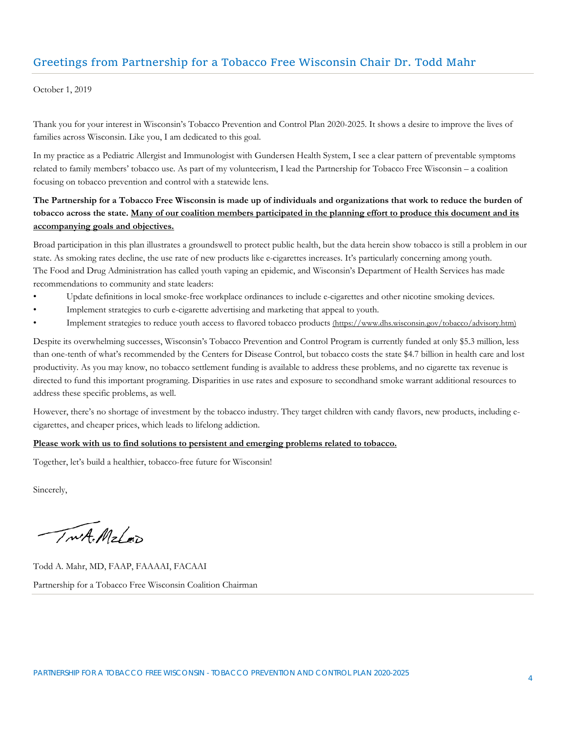#### Greetings from Partnership for a Tobacco Free Wisconsin Chair Dr. Todd Mahr

October 1, 2019

Thank you for your interest in Wisconsin's Tobacco Prevention and Control Plan 2020-2025. It shows a desire to improve the lives of families across Wisconsin. Like you, I am dedicated to this goal.

In my practice as a Pediatric Allergist and Immunologist with Gundersen Health System, I see a clear pattern of preventable symptoms related to family members' tobacco use. As part of my volunteerism, I lead the Partnership for Tobacco Free Wisconsin – a coalition focusing on tobacco prevention and control with a statewide lens.

#### **The Partnership for a Tobacco Free Wisconsin is made up of individuals and organizations that work to reduce the burden of tobacco across the state. Many of our coalition members participated in the planning effort to produce this document and its accompanying goals and objectives.**

Broad participation in this plan illustrates a groundswell to protect public health, but the data herein show tobacco is still a problem in our state. As smoking rates decline, the use rate of new products like e-cigarettes increases. It's particularly concerning among youth. The Food and Drug Administration has called youth vaping an epidemic, and Wisconsin's Department of Health Services has made recommendations to community and state leaders:

- Update definitions in local smoke-free workplace ordinances to include e-cigarettes and other nicotine smoking devices.
- Implement strategies to curb e-cigarette advertising and marketing that appeal to youth.
- Implement strategies to reduce youth access to flavored tobacco products (https://www.dhs.wisconsin.gov/tobacco/advisory.htm)

Despite its overwhelming successes, Wisconsin's Tobacco Prevention and Control Program is currently funded at only \$5.3 million, less than one-tenth of what's recommended by the Centers for Disease Control, but tobacco costs the state \$4.7 billion in health care and lost productivity. As you may know, no tobacco settlement funding is available to address these problems, and no cigarette tax revenue is directed to fund this important programing. Disparities in use rates and exposure to secondhand smoke warrant additional resources to address these specific problems, as well.

However, there's no shortage of investment by the tobacco industry. They target children with candy flavors, new products, including ecigarettes, and cheaper prices, which leads to lifelong addiction.

#### **Please work with us to find solutions to persistent and emerging problems related to tobacco.**

Together, let's build a healthier, tobacco-free future for Wisconsin!

Sincerely,

TwA. Mzlap

Todd A. Mahr, MD, FAAP, FAAAAI, FACAAI Partnership for a Tobacco Free Wisconsin Coalition Chairman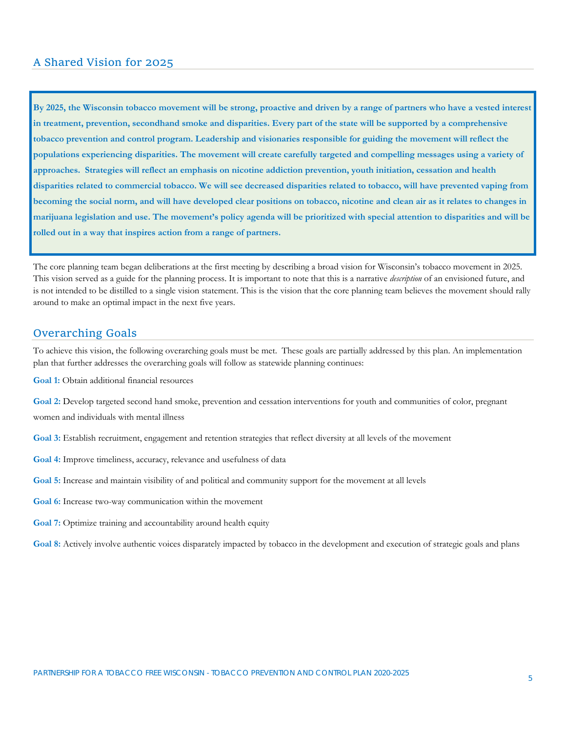#### A Shared Vision for 2025

**By 2025, the Wisconsin tobacco movement will be strong, proactive and driven by a range of partners who have a vested interest in treatment, prevention, secondhand smoke and disparities. Every part of the state will be supported by a comprehensive tobacco prevention and control program. Leadership and visionaries responsible for guiding the movement will reflect the populations experiencing disparities. The movement will create carefully targeted and compelling messages using a variety of approaches. Strategies will reflect an emphasis on nicotine addiction prevention, youth initiation, cessation and health disparities related to commercial tobacco. We will see decreased disparities related to tobacco, will have prevented vaping from becoming the social norm, and will have developed clear positions on tobacco, nicotine and clean air as it relates to changes in marijuana legislation and use. The movement's policy agenda will be prioritized with special attention to disparities and will be rolled out in a way that inspires action from a range of partners.**

The core planning team began deliberations at the first meeting by describing a broad vision for Wisconsin's tobacco movement in 2025. This vision served as a guide for the planning process. It is important to note that this is a narrative *description* of an envisioned future, and is not intended to be distilled to a single vision statement. This is the vision that the core planning team believes the movement should rally around to make an optimal impact in the next five years.

#### Overarching Goals

To achieve this vision, the following overarching goals must be met. These goals are partially addressed by this plan. An implementation plan that further addresses the overarching goals will follow as statewide planning continues:

**Goal 1:** Obtain additional financial resources

**Goal 2:** Develop targeted second hand smoke, prevention and cessation interventions for youth and communities of color, pregnant women and individuals with mental illness

**Goal 3:** Establish recruitment, engagement and retention strategies that reflect diversity at all levels of the movement

- **Goal 4:** Improve timeliness, accuracy, relevance and usefulness of data
- **Goal 5:** Increase and maintain visibility of and political and community support for the movement at all levels
- **Goal 6:** Increase two-way communication within the movement
- **Goal 7:** Optimize training and accountability around health equity

**Goal 8:** Actively involve authentic voices disparately impacted by tobacco in the development and execution of strategic goals and plans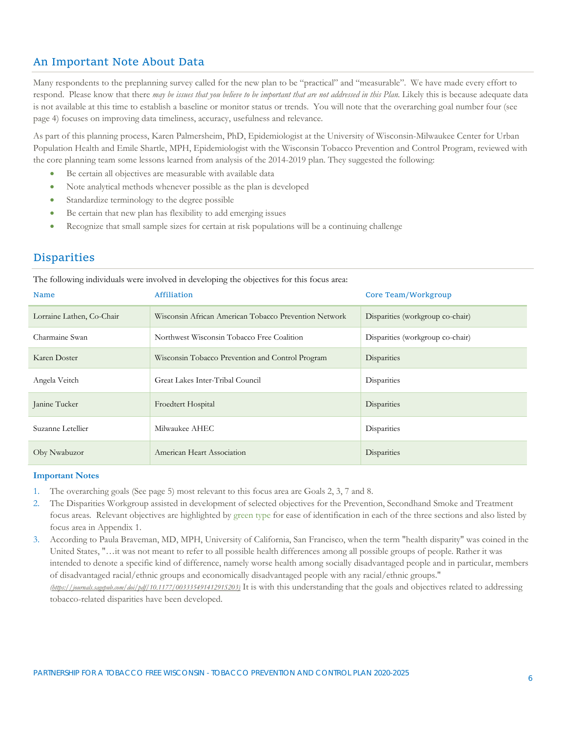#### An Important Note About Data

Many respondents to the preplanning survey called for the new plan to be "practical" and "measurable". We have made every effort to respond. Please know that there *may be issues that you believe to be important that are not addressed in this Plan*. Likely this is because adequate data is not available at this time to establish a baseline or monitor status or trends. You will note that the overarching goal number four (see page 4) focuses on improving data timeliness, accuracy, usefulness and relevance.

As part of this planning process, Karen Palmersheim, PhD, Epidemiologist at the University of Wisconsin-Milwaukee Center for Urban Population Health and Emile Shartle, MPH, Epidemiologist with the Wisconsin Tobacco Prevention and Control Program, reviewed with the core planning team some lessons learned from analysis of the 2014-2019 plan. They suggested the following:

- Be certain all objectives are measurable with available data
- Note analytical methods whenever possible as the plan is developed
- Standardize terminology to the degree possible
- Be certain that new plan has flexibility to add emerging issues
- Recognize that small sample sizes for certain at risk populations will be a continuing challenge

#### **Disparities**

The following individuals were involved in developing the objectives for this focus area:

| <b>Name</b>               | Affiliation                                           | Core Team/Workgroup              |
|---------------------------|-------------------------------------------------------|----------------------------------|
| Lorraine Lathen, Co-Chair | Wisconsin African American Tobacco Prevention Network | Disparities (workgroup co-chair) |
| Charmaine Swan            | Northwest Wisconsin Tobacco Free Coalition            | Disparities (workgroup co-chair) |
| Karen Doster              | Wisconsin Tobacco Prevention and Control Program      | Disparities                      |
| Angela Veitch             | Great Lakes Inter-Tribal Council                      | Disparities                      |
| Janine Tucker             | Froedtert Hospital                                    | Disparities                      |
| Suzanne Letellier         | Milwaukee AHEC                                        | Disparities                      |
| Oby Nwabuzor              | American Heart Association                            | Disparities                      |

#### **Important Notes**

- 1. The overarching goals (See page 5) most relevant to this focus area are Goals 2, 3, 7 and 8.
- 2. The Disparities Workgroup assisted in development of selected objectives for the Prevention, Secondhand Smoke and Treatment focus areas*.* Relevant objectives are highlighted by green type for ease of identification in each of the three sections and also listed by focus area in Appendix 1.
- 3. According to Paula Braveman, MD, MPH, University of California, San Francisco, when the term "health disparity" was coined in the United States, "…it was not meant to refer to all possible health differences among all possible groups of people. Rather it was intended to denote a specific kind of difference, namely worse health among socially disadvantaged people and in particular, members of disadvantaged racial/ethnic groups and economically disadvantaged people with any racial/ethnic groups." *(https://journals.sagepub.com/doi/pdf/10.1177/00333549141291S203)* It is with this understanding that the goals and objectives related to addressing tobacco-related disparities have been developed.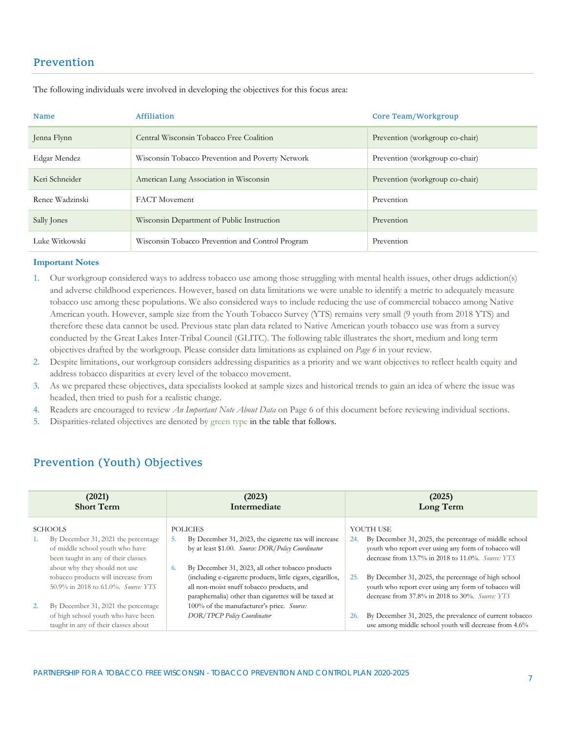#### Prevention

| <b>Name</b>     | Affiliation                                      | Core Team/Workgroup             |
|-----------------|--------------------------------------------------|---------------------------------|
| Jenna Flynn     | Central Wisconsin Tobacco Free Coalition         | Prevention (workgroup co-chair) |
| Edgar Mendez    | Wisconsin Tobacco Prevention and Poverty Network | Prevention (workgroup co-chair) |
| Keri Schneider  | American Lung Association in Wisconsin           | Prevention (workgroup co-chair) |
| Renee Wadzinski | <b>FACT</b> Movement                             | Prevention                      |
| Sally Jones     | Wisconsin Department of Public Instruction       | Prevention                      |
| Luke Witkowski  | Wisconsin Tobacco Prevention and Control Program | Prevention                      |

The following individuals were involved in developing the objectives for this focus area:

#### **Important Notes**

- 1. Our workgroup considered ways to address tobacco use among those struggling with mental health issues, other drugs addiction(s) and adverse childhood experiences. However, based on data limitations we were unable to identify a metric to adequately measure tobacco use among these populations. We also considered ways to include reducing the use of commercial tobacco among Native American youth. However, sample size from the Youth Tobacco Survey (YTS) remains very small (9 youth from 2018 YTS) and therefore these data cannot be used. Previous state plan data related to Native American youth tobacco use was from a survey conducted by the Great Lakes Inter-Tribal Council (GLITC). The following table illustrates the short, medium and long term objectives drafted by the workgroup. Please consider data limitations as explained on *Page 6* in your review.
- 2. Despite limitations, our workgroup considers addressing disparities as a priority and we want objectives to reflect health equity and address tobacco disparities at every level of the tobacco movement.
- 3. As we prepared these objectives, data specialists looked at sample sizes and historical trends to gain an idea of where the issue was headed, then tried to push for a realistic change.
- 4. Readers are encouraged to review *An Important Note About Data* on Page 6 of this document before reviewing individual sections.
- 5. Disparities-related objectives are denoted by green type in the table that follows.

#### Prevention (Youth) Objectives

| (2021)<br><b>Short Term</b>                                                                                                                              | (2023)<br>Intermediate                                                                                                                                                                                                                                                   | (2025)<br>Long Term                                                                                                                                                                      |
|----------------------------------------------------------------------------------------------------------------------------------------------------------|--------------------------------------------------------------------------------------------------------------------------------------------------------------------------------------------------------------------------------------------------------------------------|------------------------------------------------------------------------------------------------------------------------------------------------------------------------------------------|
| <b>SCHOOLS</b><br>By December 31, 2021 the percentage<br>of middle school youth who have<br>been taught in any of their classes                          | <b>POLICIES</b><br>5.<br>By December 31, 2023, the cigarette tax will increase<br>by at least \$1.00. Source: DOR/Policy Coordinator                                                                                                                                     | YOUTH USE<br>By December 31, 2025, the percentage of middle school<br>24.<br>youth who report ever using any form of tobacco will<br>decrease from 13.7% in 2018 to 11.0%. Source: $YTS$ |
| about why they should not use<br>tobacco products will increase from<br>50.9% in 2018 to 61.0%. Source: YTS<br>By December 31, 2021 the percentage<br>2. | By December 31, 2023, all other tobacco products<br>6.<br>(including e-cigarette products, little cigars, cigarillos,<br>all non-moist snuff tobacco products, and<br>paraphernalia) other than cigarettes will be taxed at<br>100% of the manufacturer's price. Source: | By December 31, 2025, the percentage of high school<br>25.<br>youth who report ever using any form of tobacco will<br>decrease from 37.8% in 2018 to 30%. Source: YTS                    |
| of high school youth who have been<br>taught in any of their classes about                                                                               | <b>DOR/TPCP Policy Coordinator</b>                                                                                                                                                                                                                                       | By December 31, 2025, the prevalence of current tobacco<br>26.<br>use among middle school youth will decrease from 4.6%                                                                  |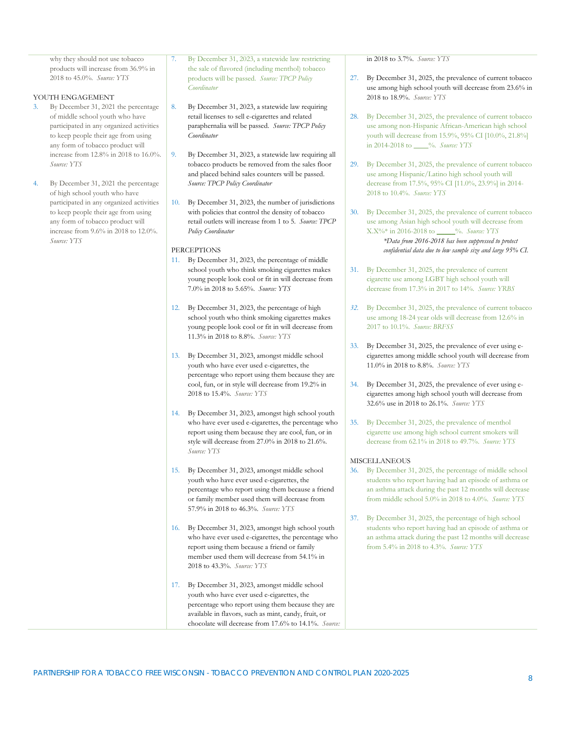why they should not use tobacco products will increase from 36.9% in 2018 to 45.0%. *Source: YTS*

#### YOUTH ENGAGEMENT

- By December 31, 2021 the percentage of middle school youth who have participated in any organized activities to keep people their age from using any form of tobacco product will increase from 12.8% in 2018 to 16.0%. *Source: YTS*
- By December 31, 2021 the percentage of high school youth who have participated in any organized activities to keep people their age from using any form of tobacco product will increase from 9.6% in 2018 to 12.0%. *Source: YTS*

By December 31, 2023, a statewide law restricting the sale of flavored (including menthol) tobacco products will be passed. *Source: TPCP Policy Coordinator*

- 8. By December 31, 2023, a statewide law requiring retail licenses to sell e-cigarettes and related paraphernalia will be passed. *Source: TPCP Policy Coordinator*
- 9. By December 31, 2023, a statewide law requiring all tobacco products be removed from the sales floor and placed behind sales counters will be passed. *Source: TPCP Policy Coordinator*
- 10. By December 31, 2023, the number of jurisdictions with policies that control the density of tobacco retail outlets will increase from 1 to 5. *Source: TPCP Policy Coordinator*

#### **PERCEPTIONS**

- 11. By December 31, 2023, the percentage of middle school youth who think smoking cigarettes makes young people look cool or fit in will decrease from 7.0% in 2018 to 5.65%. *Source: YTS*
- 12. By December 31, 2023, the percentage of high school youth who think smoking cigarettes makes young people look cool or fit in will decrease from 11.3% in 2018 to 8.8%. *Source: YTS*
- 13. By December 31, 2023, amongst middle school youth who have ever used e-cigarettes, the percentage who report using them because they are cool, fun, or in style will decrease from 19.2% in 2018 to 15.4%. *Source: YTS*
- 14. By December 31, 2023, amongst high school youth who have ever used e-cigarettes, the percentage who report using them because they are cool, fun, or in style will decrease from 27.0% in 2018 to 21.6%. *Source: YTS*
- 15. By December 31, 2023, amongst middle school youth who have ever used e-cigarettes, the percentage who report using them because a friend or family member used them will decrease from 57.9% in 2018 to 46.3%. *Source: YTS*
- 16. By December 31, 2023, amongst high school youth who have ever used e-cigarettes, the percentage who report using them because a friend or family member used them will decrease from 54.1% in 2018 to 43.3%. *Source: YTS*

17. By December 31, 2023, amongst middle school youth who have ever used e-cigarettes, the percentage who report using them because they are available in flavors, such as mint, candy, fruit, or chocolate will decrease from 17.6% to 14.1%. *Source:*  in 2018 to 3.7%. *Source: YTS*

- 27. By December 31, 2025, the prevalence of current tobacco use among high school youth will decrease from 23.6% in 2018 to 18.9%. *Source: YTS*
- 28. By December 31, 2025, the prevalence of current tobacco use among non-Hispanic African-American high school youth will decrease from 15.9%, 95% CI [10.0%, 21.8%] in 2014-2018 to \_\_\_\_%. *Source: YTS*
- 29. By December 31, 2025, the prevalence of current tobacco use among Hispanic/Latino high school youth will decrease from 17.5%, 95% CI [11.0%, 23.9%] in 2014- 2018 to 10.4%. *Source: YTS*
- 30. By December 31, 2025, the prevalence of current tobacco use among Asian high school youth will decrease from X.X%\* in 2016-2018 to \_\_\_\_\_%. *Source: YTS \*Data from 2016-2018 has been suppressed to protect confidential data due to low sample size and large 95% CI.*
- 31. By December 31, 2025, the prevalence of current cigarette use among LGBT high school youth will decrease from 17.3% in 2017 to 14%. *Source: YRBS*
- *32.* By December 31, 2025, the prevalence of current tobacco use among 18-24 year olds will decrease from 12.6% in 2017 to 10.1%. *Source: BRFSS*
- 33. By December 31, 2025, the prevalence of ever using ecigarettes among middle school youth will decrease from 11.0% in 2018 to 8.8%. *Source: YTS*
- 34. By December 31, 2025, the prevalence of ever using ecigarettes among high school youth will decrease from 32.6% use in 2018 to 26.1%. *Source: YTS*
- 35. By December 31, 2025, the prevalence of menthol cigarette use among high school current smokers will decrease from 62.1% in 2018 to 49.7%. *Source: YTS*

#### **MISCELLANEOUS**

- 36. By December 31, 2025, the percentage of middle school students who report having had an episode of asthma or an asthma attack during the past 12 months will decrease from middle school 5.0% in 2018 to 4.0%. *Source: YTS*
- 37. By December 31, 2025, the percentage of high school students who report having had an episode of asthma or an asthma attack during the past 12 months will decrease from 5.4% in 2018 to 4.3%. *Source: YTS*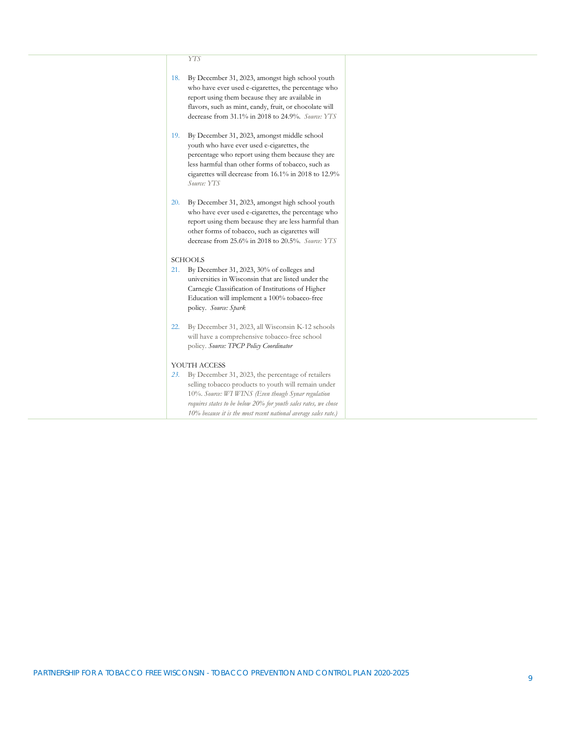#### *YTS*

| 18. | By December 31, 2023, amongst high school youth<br>who have ever used e-cigarettes, the percentage who<br>report using them because they are available in<br>flavors, such as mint, candy, fruit, or chocolate will<br>decrease from 31.1% in 2018 to 24.9%. Source: YTS                             |  |
|-----|------------------------------------------------------------------------------------------------------------------------------------------------------------------------------------------------------------------------------------------------------------------------------------------------------|--|
| 19. | By December 31, 2023, amongst middle school<br>youth who have ever used e-cigarettes, the<br>percentage who report using them because they are<br>less harmful than other forms of tobacco, such as<br>cigarettes will decrease from 16.1% in 2018 to 12.9%<br>Source: YTS                           |  |
| 20. | By December 31, 2023, amongst high school youth<br>who have ever used e-cigarettes, the percentage who<br>report using them because they are less harmful than<br>other forms of tobacco, such as cigarettes will<br>decrease from 25.6% in 2018 to 20.5%. Source: YTS                               |  |
|     | <b>SCHOOLS</b>                                                                                                                                                                                                                                                                                       |  |
| 21. | By December 31, 2023, 30% of colleges and<br>universities in Wisconsin that are listed under the<br>Carnegie Classification of Institutions of Higher<br>Education will implement a 100% tobacco-free<br>policy. Source: Spark                                                                       |  |
| 22. | By December 31, 2023, all Wisconsin K-12 schools<br>will have a comprehensive tobacco-free school<br>policy. Source: TPCP Policy Coordinator                                                                                                                                                         |  |
|     | YOUTH ACCESS                                                                                                                                                                                                                                                                                         |  |
| 23. | By December 31, 2023, the percentage of retailers<br>selling tobacco products to youth will remain under<br>10%. Source: WI WINS (Even though Synar regulation<br>requires states to be below 20% for youth sales rates, we chose<br>10% because it is the most recent national average sales rate.) |  |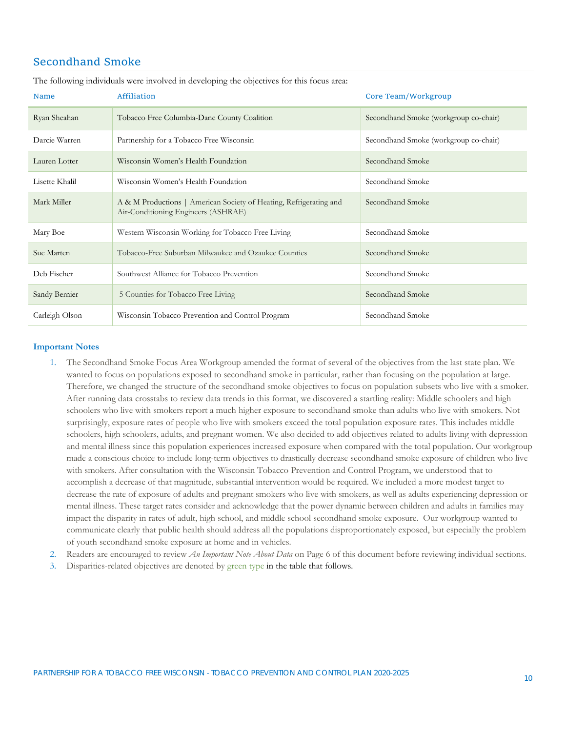#### Secondhand Smoke

| <b>Name</b>    | Affiliation                                                                                               | Core Team/Workgroup                   |
|----------------|-----------------------------------------------------------------------------------------------------------|---------------------------------------|
| Ryan Sheahan   | Tobacco Free Columbia-Dane County Coalition                                                               | Secondhand Smoke (workgroup co-chair) |
| Darcie Warren  | Partnership for a Tobacco Free Wisconsin                                                                  | Secondhand Smoke (workgroup co-chair) |
| Lauren Lotter  | Wisconsin Women's Health Foundation                                                                       | Secondhand Smoke                      |
| Lisette Khalil | Wisconsin Women's Health Foundation                                                                       | Secondhand Smoke                      |
| Mark Miller    | A & M Productions   American Society of Heating, Refrigerating and<br>Air-Conditioning Engineers (ASHRAE) | Secondhand Smoke                      |
| Mary Boe       | Western Wisconsin Working for Tobacco Free Living                                                         | Secondhand Smoke                      |
| Sue Marten     | Tobacco-Free Suburban Milwaukee and Ozaukee Counties                                                      | Secondhand Smoke                      |
| Deb Fischer    | Southwest Alliance for Tobacco Prevention                                                                 | Secondhand Smoke                      |
| Sandy Bernier  | 5 Counties for Tobacco Free Living                                                                        | Secondhand Smoke                      |
| Carleigh Olson | Wisconsin Tobacco Prevention and Control Program                                                          | Secondhand Smoke                      |

The following individuals were involved in developing the objectives for this focus area:

#### **Important Notes**

- 1. The Secondhand Smoke Focus Area Workgroup amended the format of several of the objectives from the last state plan. We wanted to focus on populations exposed to secondhand smoke in particular, rather than focusing on the population at large. Therefore, we changed the structure of the secondhand smoke objectives to focus on population subsets who live with a smoker. After running data crosstabs to review data trends in this format, we discovered a startling reality: Middle schoolers and high schoolers who live with smokers report a much higher exposure to secondhand smoke than adults who live with smokers. Not surprisingly, exposure rates of people who live with smokers exceed the total population exposure rates. This includes middle schoolers, high schoolers, adults, and pregnant women. We also decided to add objectives related to adults living with depression and mental illness since this population experiences increased exposure when compared with the total population. Our workgroup made a conscious choice to include long-term objectives to drastically decrease secondhand smoke exposure of children who live with smokers. After consultation with the Wisconsin Tobacco Prevention and Control Program, we understood that to accomplish a decrease of that magnitude, substantial intervention would be required. We included a more modest target to decrease the rate of exposure of adults and pregnant smokers who live with smokers, as well as adults experiencing depression or mental illness. These target rates consider and acknowledge that the power dynamic between children and adults in families may impact the disparity in rates of adult, high school, and middle school secondhand smoke exposure. Our workgroup wanted to communicate clearly that public health should address all the populations disproportionately exposed, but especially the problem of youth secondhand smoke exposure at home and in vehicles.
- 2. Readers are encouraged to review *An Important Note About Data* on Page 6 of this document before reviewing individual sections.
- 3. Disparities-related objectives are denoted by green type in the table that follows.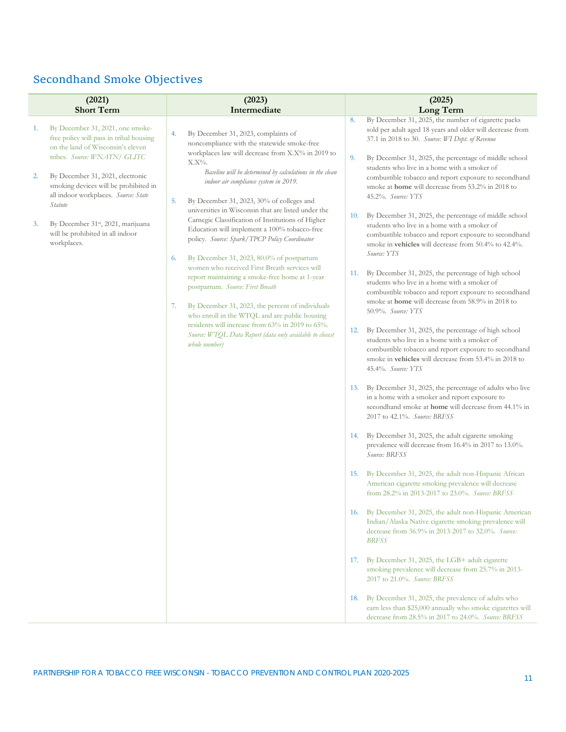### Secondhand Smoke Objectives

|          | (2021)                                                                                                                                                                               | (2023)                                                                                                                                                                                                                 | (2025)                                                                                                                                                                                                                                                                                                                                            |
|----------|--------------------------------------------------------------------------------------------------------------------------------------------------------------------------------------|------------------------------------------------------------------------------------------------------------------------------------------------------------------------------------------------------------------------|---------------------------------------------------------------------------------------------------------------------------------------------------------------------------------------------------------------------------------------------------------------------------------------------------------------------------------------------------|
|          | <b>Short Term</b>                                                                                                                                                                    | Intermediate                                                                                                                                                                                                           | Long Term                                                                                                                                                                                                                                                                                                                                         |
| 1.<br>2. | By December 31, 2021, one smoke-<br>free policy will pass in tribal housing<br>on the land of Wisconsin's eleven<br>tribes. Source: WNATN/ GLITC<br>By December 31, 2021, electronic | By December 31, 2023, complaints of<br>4.<br>noncompliance with the statewide smoke-free<br>workplaces law will decrease from X.X% in 2019 to<br>$X.X\%$ .<br>Baseline will be determined by calculations in the clean | By December 31, 2025, the number of cigarette packs<br>8.<br>sold per adult aged 18 years and older will decrease from<br>37.1 in 2018 to 30. Source: WI Dept. of Revenue<br>By December 31, 2025, the percentage of middle school<br>9.<br>students who live in a home with a smoker of<br>combustible tobacco and report exposure to secondhand |
|          | smoking devices will be prohibited in<br>all indoor workplaces. Source: State<br>Statute                                                                                             | indoor air compliance system in 2019.<br>By December 31, 2023, 30% of colleges and<br>5.<br>universities in Wisconsin that are listed under the                                                                        | smoke at home will decrease from 53.2% in 2018 to<br>45.2%. Source: YTS<br>By December 31, 2025, the percentage of middle school                                                                                                                                                                                                                  |
| 3.       | By December 31 <sup>st</sup> , 2021, marijuana<br>will be prohibited in all indoor<br>workplaces.                                                                                    | Carnegie Classification of Institutions of Higher<br>Education will implement a 100% tobacco-free<br>policy. Source: Spark/TPCP Policy Coordinator                                                                     | 10.<br>students who live in a home with a smoker of<br>combustible tobacco and report exposure to secondhand<br>smoke in vehicles will decrease from 50.4% to 42.4%.<br>Source: YTS                                                                                                                                                               |
|          |                                                                                                                                                                                      | By December 31, 2023, 80.0% of postpartum<br>6.<br>women who received First Breath services will                                                                                                                       |                                                                                                                                                                                                                                                                                                                                                   |
|          |                                                                                                                                                                                      | report maintaining a smoke-free home at 1-year<br>postpartum. Source: First Breath                                                                                                                                     | By December 31, 2025, the percentage of high school<br>11.<br>students who live in a home with a smoker of<br>combustible tobacco and report exposure to secondhand                                                                                                                                                                               |
|          |                                                                                                                                                                                      | By December 31, 2023, the percent of individuals<br>7.<br>who enroll in the WTQL and are public housing<br>residents will increase from 63% in 2019 to 65%.                                                            | smoke at home will decrease from 58.9% in 2018 to<br>50.9%. Source: YTS                                                                                                                                                                                                                                                                           |
|          |                                                                                                                                                                                      | Source: WTQL Data Report (data only available to closest<br>whole number)                                                                                                                                              | By December 31, 2025, the percentage of high school<br>12.<br>students who live in a home with a smoker of<br>combustible tobacco and report exposure to secondhand<br>smoke in vehicles will decrease from 53.4% in 2018 to<br>45.4%. Source: YTS                                                                                                |
|          |                                                                                                                                                                                      |                                                                                                                                                                                                                        | 13. By December 31, 2025, the percentage of adults who live<br>in a home with a smoker and report exposure to<br>secondhand smoke at home will decrease from 44.1% in<br>2017 to 42.1%. Source: BRFSS                                                                                                                                             |
|          |                                                                                                                                                                                      |                                                                                                                                                                                                                        | 14. By December 31, 2025, the adult cigarette smoking<br>prevalence will decrease from 16.4% in 2017 to 13.0%.<br>Source: BRFSS                                                                                                                                                                                                                   |
|          |                                                                                                                                                                                      |                                                                                                                                                                                                                        | 15. By December 31, 2025, the adult non-Hispanic African<br>American cigarette smoking prevalence will decrease<br>from 28.2% in 2013-2017 to 23.0%. Source: BRFSS                                                                                                                                                                                |
|          |                                                                                                                                                                                      |                                                                                                                                                                                                                        | 16. By December 31, 2025, the adult non-Hispanic American<br>Indian/Alaska Native cigarette smoking prevalence will<br>decrease from 36.9% in 2013-2017 to 32.0%. Source:<br><b>BRFSS</b>                                                                                                                                                         |
|          |                                                                                                                                                                                      |                                                                                                                                                                                                                        | By December 31, 2025, the LGB+ adult cigarette<br>17.<br>smoking prevalence will decrease from 25.7% in 2013-<br>2017 to 21.0%. Source: BRFSS                                                                                                                                                                                                     |
|          |                                                                                                                                                                                      |                                                                                                                                                                                                                        | 18. By December 31, 2025, the prevalence of adults who<br>earn less than \$25,000 annually who smoke cigarettes will<br>decrease from 28.5% in 2017 to 24.0%. Source: BRFSS                                                                                                                                                                       |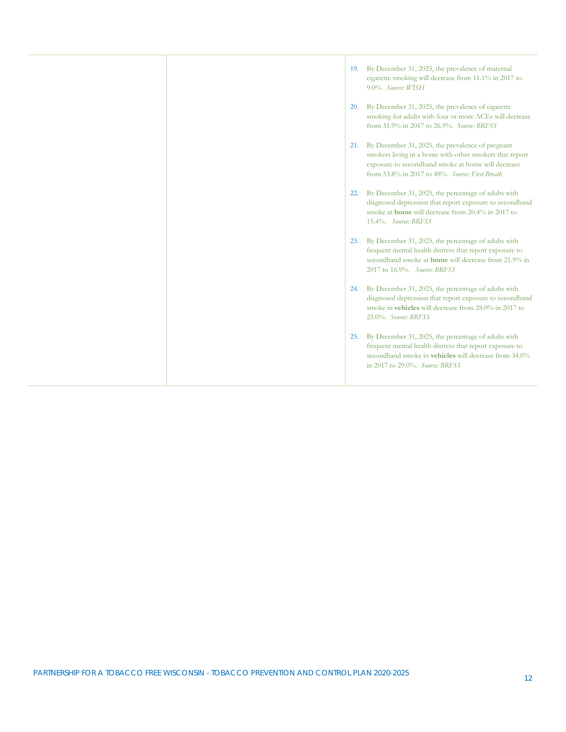|  |     | 19. By December 31, 2025, the prevalence of maternal<br>cigarette smoking will decrease from 11.1% in 2017 to<br>9.0%. Source: WISH                                                                                      |
|--|-----|--------------------------------------------------------------------------------------------------------------------------------------------------------------------------------------------------------------------------|
|  | 20. | By December 31, 2025, the prevalence of cigarette<br>smoking for adults with four or more ACEs will decrease<br>from 31.9% in 2017 to 26.9%. Source: BRFSS                                                               |
|  |     | 21. By December 31, 2025, the prevalence of pregnant<br>smokers living in a home with other smokers that report<br>exposure to secondhand smoke at home will decrease<br>from 53.8% in 2017 to 48%. Source: First Breath |
|  | 22. | By December 31, 2025, the percentage of adults with<br>diagnosed depression that report exposure to secondhand<br>smoke at <b>home</b> will decrease from 20.4% in 2017 to<br>15.4%. Source: BRFSS                       |
|  | 23. | By December 31, 2025, the percentage of adults with<br>frequent mental health distress that report exposure to<br>secondhand smoke at <b>home</b> will decrease from 21.9% in<br>2017 to 16.9%. Source: BRFSS            |
|  | 24. | By December 31, 2025, the percentage of adults with<br>diagnosed depression that report exposure to secondhand<br>smoke in vehicles will decrease from 28.0% in 2017 to<br>25.0%. Source: BRFSS                          |
|  | 25. | By December 31, 2025, the percentage of adults with<br>frequent mental health distress that report exposure to<br>secondhand smoke in <b>vehicles</b> will decrease from 34.0%<br>in 2017 to 29.0%. Source: BRFSS        |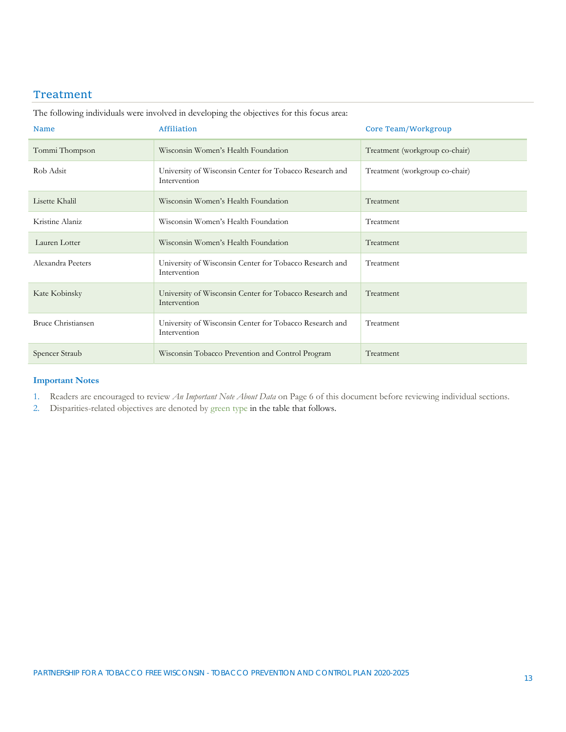#### Treatment

| <b>Name</b>               | Affiliation                                                             | Core Team/Workgroup            |
|---------------------------|-------------------------------------------------------------------------|--------------------------------|
| Tommi Thompson            | Wisconsin Women's Health Foundation                                     | Treatment (workgroup co-chair) |
| Rob Adsit                 | University of Wisconsin Center for Tobacco Research and<br>Intervention | Treatment (workgroup co-chair) |
| Lisette Khalil            | Wisconsin Women's Health Foundation                                     | Treatment                      |
| Kristine Alaniz           | Wisconsin Women's Health Foundation                                     | Treatment                      |
| Lauren Lotter             | Wisconsin Women's Health Foundation                                     | Treatment                      |
| Alexandra Peeters         | University of Wisconsin Center for Tobacco Research and<br>Intervention | Treatment                      |
| Kate Kobinsky             | University of Wisconsin Center for Tobacco Research and<br>Intervention | Treatment                      |
| <b>Bruce Christiansen</b> | University of Wisconsin Center for Tobacco Research and<br>Intervention | Treatment                      |
| Spencer Straub            | Wisconsin Tobacco Prevention and Control Program                        | Treatment                      |

The following individuals were involved in developing the objectives for this focus area:

#### **Important Notes**

1. Readers are encouraged to review *An Important Note About Data* on Page 6 of this document before reviewing individual sections.

2. Disparities-related objectives are denoted by green type in the table that follows.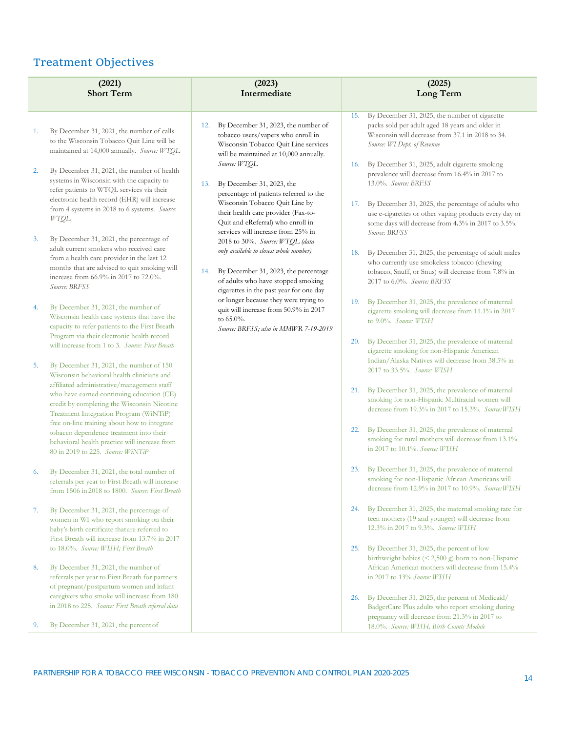#### Treatment Objectives

|    | (2021)<br><b>Short Term</b>                                                                                                                                                                                                                  | (2023)<br>Intermediate                                                                                                                                                                                                                           | (2025)<br>Long Term                                                                                                                                                                                                                                 |
|----|----------------------------------------------------------------------------------------------------------------------------------------------------------------------------------------------------------------------------------------------|--------------------------------------------------------------------------------------------------------------------------------------------------------------------------------------------------------------------------------------------------|-----------------------------------------------------------------------------------------------------------------------------------------------------------------------------------------------------------------------------------------------------|
|    |                                                                                                                                                                                                                                              |                                                                                                                                                                                                                                                  |                                                                                                                                                                                                                                                     |
| 1. | By December 31, 2021, the number of calls<br>to the Wisconsin Tobacco Quit Line will be<br>maintained at 14,000 annually. Source: WTQL                                                                                                       | By December 31, 2023, the number of<br>12.<br>tobacco users/vapers who enroll in<br>Wisconsin Tobacco Quit Line services<br>will be maintained at 10,000 annually.<br>Source: WTOL                                                               | By December 31, 2025, the number of cigarette<br>15.<br>packs sold per adult aged 18 years and older in<br>Wisconsin will decrease from 37.1 in 2018 to 34.<br>Source: WI Dept. of Revenue<br>By December 31, 2025, adult cigarette smoking<br>16.  |
| 2. | By December 31, 2021, the number of health<br>systems in Wisconsin with the capacity to<br>refer patients to WTQL services via their<br>electronic health record (EHR) will increase<br>from 4 systems in 2018 to 6 systems. Source:<br>WTQL | By December 31, 2023, the<br>13.<br>percentage of patients referred to the<br>Wisconsin Tobacco Quit Line by<br>their health care provider (Fax-to-<br>Quit and eReferral) who enroll in                                                         | prevalence will decrease from 16.4% in 2017 to<br>13.0%. Source: BRFSS<br>By December 31, 2025, the percentage of adults who<br>17.<br>use e-cigarettes or other vaping products every day or<br>some days will decrease from 4.3% in 2017 to 3.5%. |
| 3. | By December 31, 2021, the percentage of<br>adult current smokers who received care<br>from a health care provider in the last 12<br>months that are advised to quit smoking will<br>increase from 66.9% in 2017 to 72.0%.<br>Source: BRFSS   | services will increase from 25% in<br>2018 to 30%. Source: WTQL (data<br>only available to closest whole number)<br>By December 31, 2023, the percentage<br>14.<br>of adults who have stopped smoking<br>cigarettes in the past year for one day | Source: BRFSS<br>By December 31, 2025, the percentage of adult males<br>18.<br>who currently use smokeless tobacco (chewing<br>tobacco, Snuff, or Snus) will decrease from 7.8% in<br>2017 to 6.0%. Source: BRFSS                                   |
| 4. | By December 31, 2021, the number of<br>Wisconsin health care systems that have the<br>capacity to refer patients to the First Breath<br>Program via their electronic health record                                                           | or longer because they were trying to<br>quit will increase from 50.9% in 2017<br>to 65.0%.<br>Source: BRFSS; also in MMWR 7-19-2019                                                                                                             | By December 31, 2025, the prevalence of maternal<br>19.<br>cigarette smoking will decrease from 11.1% in 2017<br>to 9.0%. Source: WISH<br>By December 31, 2025, the prevalence of maternal<br><b>20.</b>                                            |
| 5. | will increase from 1 to 3. Source: First Breath<br>By December 31, 2021, the number of 150<br>Wisconsin behavioral health clinicians and<br>affiliated administrative/management staff                                                       |                                                                                                                                                                                                                                                  | cigarette smoking for non-Hispanic American<br>Indian/Alaska Natives will decrease from 38.5% in<br>2017 to 33.5%. Source: WISH                                                                                                                     |
|    | who have earned continuing education (CE)<br>credit by completing the Wisconsin Nicotine<br>Treatment Integration Program (WiNTiP)<br>free on-line training about how to integrate                                                           |                                                                                                                                                                                                                                                  | By December 31, 2025, the prevalence of maternal<br>21.<br>smoking for non-Hispanic Multiracial women will<br>decrease from 19.3% in 2017 to 15.3%. Source: WISH                                                                                    |
|    | tobacco dependence treatment into their<br>behavioral health practice will increase from<br>80 in 2019 to 225. Source: WiNTiP                                                                                                                |                                                                                                                                                                                                                                                  | By December 31, 2025, the prevalence of maternal<br>22.<br>smoking for rural mothers will decrease from 13.1%<br>in 2017 to 10.1%. Source: WISH                                                                                                     |
| 6. | By December 31, 2021, the total number of<br>referrals per year to First Breath will increase<br>from 1506 in 2018 to 1800. Source: First Breath                                                                                             |                                                                                                                                                                                                                                                  | By December 31, 2025, the prevalence of maternal<br><b>23.</b><br>smoking for non-Hispanic African Americans will<br>decrease from 12.9% in 2017 to 10.9%. Source: WISH                                                                             |
| 7. | By December 31, 2021, the percentage of<br>women in WI who report smoking on their<br>baby's birth certificate that are referred to<br>First Breath will increase from 13.7% in 2017                                                         |                                                                                                                                                                                                                                                  | By December 31, 2025, the maternal smoking rate for<br>24.<br>teen mothers (19 and younger) will decrease from<br>12.3% in 2017 to 9.3%. Source: WISH                                                                                               |
| 8. | to 18.0%. Source: WISH; First Breath<br>By December 31, 2021, the number of<br>referrals per year to First Breath for partners                                                                                                               |                                                                                                                                                                                                                                                  | By December 31, 2025, the percent of low<br>25.<br>birthweight babies (< 2,500 g) born to non-Hispanic<br>African American mothers will decrease from 15.4%<br>in 2017 to 13% Source: WISH                                                          |
|    | of pregnant/postpartum women and infant<br>caregivers who smoke will increase from 180<br>in 2018 to 225. Source: First Breath referral data                                                                                                 |                                                                                                                                                                                                                                                  | By December 31, 2025, the percent of Medicaid/<br>26.<br>BadgerCare Plus adults who report smoking during                                                                                                                                           |
| 9. | By December 31, 2021, the percent of                                                                                                                                                                                                         |                                                                                                                                                                                                                                                  | pregnancy will decrease from 21.3% in 2017 to<br>18.0%. Source: WISH, Birth Counts Module                                                                                                                                                           |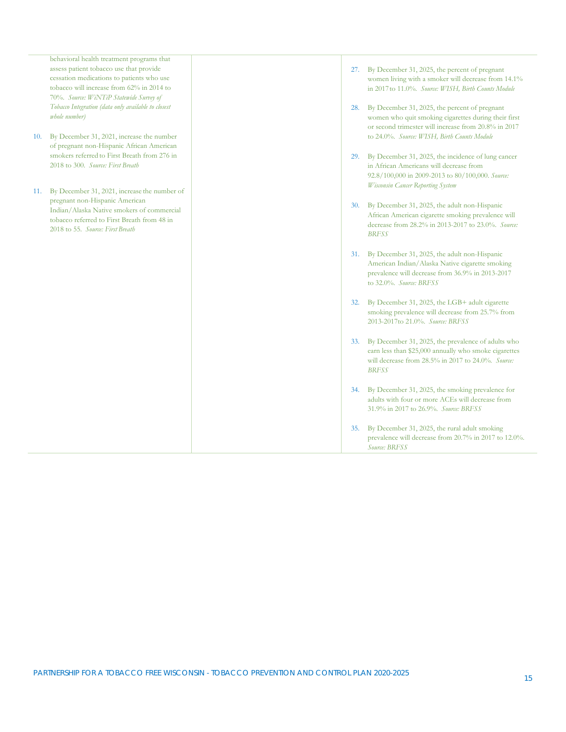|     | behavioral health treatment programs that<br>assess patient tobacco use that provide<br>cessation medications to patients who use<br>tobacco will increase from 62% in 2014 to<br>70%. Source: WiNTiP Statewide Survey of | 27.        | By December 31, 2025, the percent of pregnant<br>women living with a smoker will decrease from 14.1%<br>in 2017 to 11.0%. Source: WISH, Birth Counts Module                            |
|-----|---------------------------------------------------------------------------------------------------------------------------------------------------------------------------------------------------------------------------|------------|----------------------------------------------------------------------------------------------------------------------------------------------------------------------------------------|
|     | Tobacco Integration (data only available to closest<br>whole number)                                                                                                                                                      | 28.        | By December 31, 2025, the percent of pregnant<br>women who quit smoking cigarettes during their first<br>or second trimester will increase from 20.8% in 2017                          |
| 10. | By December 31, 2021, increase the number<br>of pregnant non-Hispanic African American<br>smokers referred to First Breath from 276 in                                                                                    |            | to 24.0%. Source: WISH, Birth Counts Module                                                                                                                                            |
|     | 2018 to 300. Source: First Breath                                                                                                                                                                                         | 29.        | By December 31, 2025, the incidence of lung cancer<br>in African Americans will decrease from<br>92.8/100,000 in 2009-2013 to 80/100,000. Source:<br>Wisconsin Cancer Reporting System |
| 11. | By December 31, 2021, increase the number of                                                                                                                                                                              |            |                                                                                                                                                                                        |
|     | pregnant non-Hispanic American<br>Indian/Alaska Native smokers of commercial<br>tobacco referred to First Breath from 48 in<br>2018 to 55. Source: First Breath                                                           | 30.        | By December 31, 2025, the adult non-Hispanic<br>African American cigarette smoking prevalence will<br>decrease from 28.2% in 2013-2017 to 23.0%. Source:<br><b>BRFSS</b>               |
|     |                                                                                                                                                                                                                           | 31.        | By December 31, 2025, the adult non-Hispanic<br>American Indian/Alaska Native cigarette smoking<br>prevalence will decrease from 36.9% in 2013-2017<br>to 32.0%. Source: BRFSS         |
|     |                                                                                                                                                                                                                           | 32.        | By December 31, 2025, the LGB+ adult cigarette<br>smoking prevalence will decrease from 25.7% from<br>2013-2017 to 21.0%. Source: BRFSS                                                |
|     |                                                                                                                                                                                                                           | <b>33.</b> | By December 31, 2025, the prevalence of adults who<br>earn less than \$25,000 annually who smoke cigarettes<br>will decrease from 28.5% in 2017 to 24.0%. Source:<br><b>BRFSS</b>      |
|     |                                                                                                                                                                                                                           | 34.        | By December 31, 2025, the smoking prevalence for<br>adults with four or more ACEs will decrease from<br>31.9% in 2017 to 26.9%. Source: BRFSS                                          |
|     |                                                                                                                                                                                                                           | 35.        | By December 31, 2025, the rural adult smoking<br>prevalence will decrease from 20.7% in 2017 to 12.0%.<br>Source: BRFSS                                                                |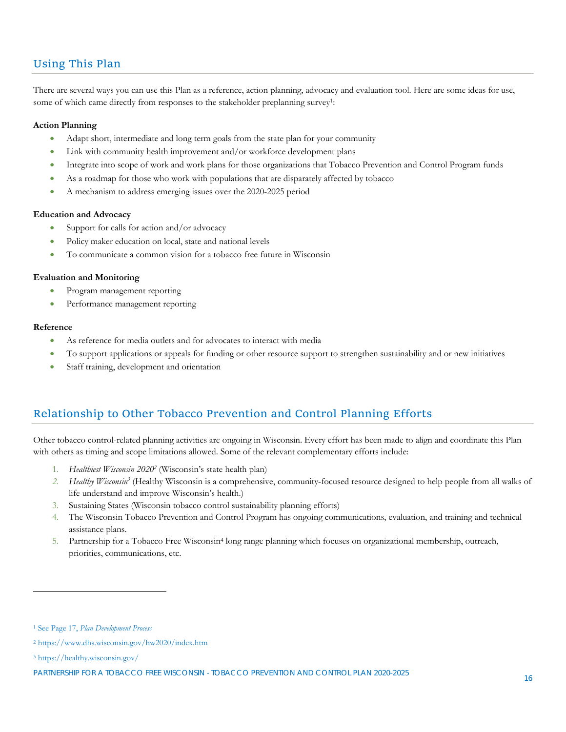#### Using This Plan

There are several ways you can use this Plan as a reference, action planning, advocacy and evaluation tool. Here are some ideas for use, some of which came directly from responses to the stakeholder preplanning survey<sup>1</sup>:

#### **Action Planning**

- Adapt short, intermediate and long term goals from the state plan for your community
- Link with community health improvement and/or workforce development plans
- Integrate into scope of work and work plans for those organizations that Tobacco Prevention and Control Program funds
- As a roadmap for those who work with populations that are disparately affected by tobacco
- A mechanism to address emerging issues over the 2020-2025 period

#### **Education and Advocacy**

- Support for calls for action and/or advocacy
- Policy maker education on local, state and national levels
- To communicate a common vision for a tobacco free future in Wisconsin

#### **Evaluation and Monitoring**

- Program management reporting
- Performance management reporting

#### **Reference**

- As reference for media outlets and for advocates to interact with media
- To support applications or appeals for funding or other resource support to strengthen sustainability and or new initiatives
- Staff training, development and orientation

#### Relationship to Other Tobacco Prevention and Control Planning Efforts

Other tobacco control-related planning activities are ongoing in Wisconsin. Every effort has been made to align and coordinate this Plan with others as timing and scope limitations allowed. Some of the relevant complementary efforts include:

- 1. *Healthiest Wisconsin 20202* (Wisconsin's state health plan)
- 2. Healthy Wisconsin<sup>3</sup> (Healthy Wisconsin is a comprehensive, community-focused resource designed to help people from all walks of life understand and improve Wisconsin's health.)
- 3. Sustaining States (Wisconsin tobacco control sustainability planning efforts)
- 4. The Wisconsin Tobacco Prevention and Control Program has ongoing communications, evaluation, and training and technical assistance plans.
- 5. Partnership for a Tobacco Free Wisconsin4 long range planning which focuses on organizational membership, outreach, priorities, communications, etc.

 $\overline{a}$ 

<sup>1</sup> See Page 17, *Plan Development Process*

<sup>2</sup> https://www.dhs.wisconsin.gov/hw2020/index.htm

<sup>3</sup> https://healthy.wisconsin.gov/

PARTNERSHIP FOR A TOBACCO FREE WISCONSIN - TOBACCO PREVENTION AND CONTROL PLAN 2020-2025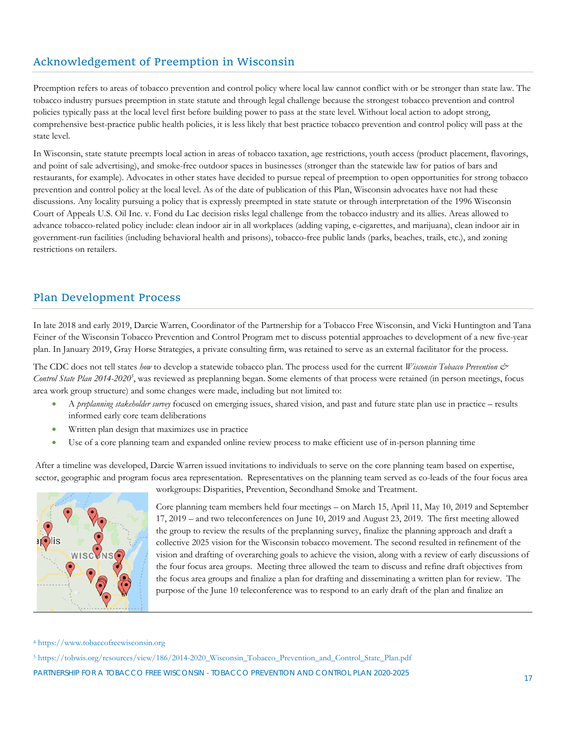#### Acknowledgement of Preemption in Wisconsin

Preemption refers to areas of tobacco prevention and control policy where local law cannot conflict with or be stronger than state law. The tobacco industry pursues preemption in state statute and through legal challenge because the strongest tobacco prevention and control policies typically pass at the local level first before building power to pass at the state level. Without local action to adopt strong, comprehensive best-practice public health policies, it is less likely that best practice tobacco prevention and control policy will pass at the state level.

In Wisconsin, state statute preempts local action in areas of tobacco taxation, age restrictions, youth access (product placement, flavorings, and point of sale advertising), and smoke-free outdoor spaces in businesses (stronger than the statewide law for patios of bars and restaurants, for example). Advocates in other states have decided to pursue repeal of preemption to open opportunities for strong tobacco prevention and control policy at the local level. As of the date of publication of this Plan, Wisconsin advocates have not had these discussions. Any locality pursuing a policy that is expressly preempted in state statute or through interpretation of the 1996 Wisconsin Court of Appeals U.S. Oil Inc. v. Fond du Lac decision risks legal challenge from the tobacco industry and its allies. Areas allowed to advance tobacco-related policy include: clean indoor air in all workplaces (adding vaping, e-cigarettes, and marijuana), clean indoor air in government-run facilities (including behavioral health and prisons), tobacco-free public lands (parks, beaches, trails, etc.), and zoning restrictions on retailers.

#### Plan Development Process

In late 2018 and early 2019, Darcie Warren, Coordinator of the Partnership for a Tobacco Free Wisconsin, and Vicki Huntington and Tana Feiner of the Wisconsin Tobacco Prevention and Control Program met to discuss potential approaches to development of a new five-year plan. In January 2019, Gray Horse Strategies, a private consulting firm, was retained to serve as an external facilitator for the process.

The CDC does not tell states *how* to develop a statewide tobacco plan. The process used for the current *Wisconsin Tobacco Prevention &*  Control State Plan 2014-2020<sup>5</sup>, was reviewed as preplanning began. Some elements of that process were retained (in person meetings, focus area work group structure) and some changes were made, including but not limited to:

- A *preplanning stakeholder survey* focused on emerging issues, shared vision, and past and future state plan use in practice results informed early core team deliberations
- Written plan design that maximizes use in practice
- Use of a core planning team and expanded online review process to make efficient use of in-person planning time

After a timeline was developed, Darcie Warren issued invitations to individuals to serve on the core planning team based on expertise, sector, geographic and program focus area representation. Representatives on the planning team served as co-leads of the four focus area



workgroups: Disparities, Prevention, Secondhand Smoke and Treatment.

Core planning team members held four meetings – on March 15, April 11, May 10, 2019 and September 17, 2019 – and two teleconferences on June 10, 2019 and August 23, 2019. The first meeting allowed the group to review the results of the preplanning survey, finalize the planning approach and draft a collective 2025 vision for the Wisconsin tobacco movement. The second resulted in refinement of the vision and drafting of overarching goals to achieve the vision, along with a review of early discussions of the four focus area groups. Meeting three allowed the team to discuss and refine draft objectives from the focus area groups and finalize a plan for drafting and disseminating a written plan for review. The purpose of the June 10 teleconference was to respond to an early draft of the plan and finalize an

<sup>4</sup> https://www.tobaccofreewisconsin.org

PARTNERSHIP FOR A TOBACCO FREE WISCONSIN - TOBACCO PREVENTION AND CONTROL PLAN 2020-2025 5 https://tobwis.org/resources/view/186/2014-2020\_Wisconsin\_Tobacco\_Prevention\_and\_Control\_State\_Plan.pdf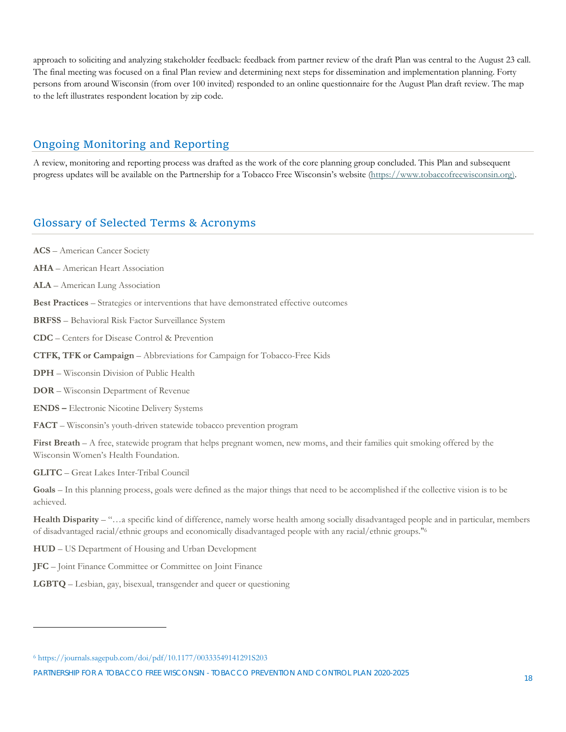approach to soliciting and analyzing stakeholder feedback: feedback from partner review of the draft Plan was central to the August 23 call. The final meeting was focused on a final Plan review and determining next steps for dissemination and implementation planning. Forty persons from around Wisconsin (from over 100 invited) responded to an online questionnaire for the August Plan draft review. The map to the left illustrates respondent location by zip code.

#### Ongoing Monitoring and Reporting

A review, monitoring and reporting process was drafted as the work of the core planning group concluded. This Plan and subsequent progress updates will be available on the Partnership for a Tobacco Free Wisconsin's website (https://www.tobaccofreewisconsin.org).

#### Glossary of Selected Terms & Acronyms

**ACS** – American Cancer Society

**AHA** – American Heart Association

**ALA** – American Lung Association

**Best Practices** – Strategies or interventions that have demonstrated effective outcomes

**BRFSS** – Behavioral Risk Factor Surveillance System

**CDC** – Centers for Disease Control & Prevention

**CTFK, TFK or Campaign** – Abbreviations for Campaign for Tobacco-Free Kids

**DPH** – Wisconsin Division of Public Health

**DOR** – Wisconsin Department of Revenue

**ENDS –** Electronic Nicotine Delivery Systems

**FACT** – Wisconsin's youth-driven statewide tobacco prevention program

**First Breath** – A free, statewide program that helps pregnant women, new moms, and their families quit smoking offered by the Wisconsin Women's Health Foundation.

**GLITC** – Great Lakes Inter-Tribal Council

 $\overline{a}$ 

**Goals** – In this planning process, goals were defined as the major things that need to be accomplished if the collective vision is to be achieved.

**Health Disparity** – "…a specific kind of difference, namely worse health among socially disadvantaged people and in particular, members of disadvantaged racial/ethnic groups and economically disadvantaged people with any racial/ethnic groups."6

**HUD** – US Department of Housing and Urban Development

**JFC** – Joint Finance Committee or Committee on Joint Finance

**LGBTQ** – Lesbian, gay, bisexual, transgender and queer or questioning

PARTNERSHIP FOR A TOBACCO FREE WISCONSIN - TOBACCO PREVENTION AND CONTROL PLAN 2020-2025

<sup>6</sup> https://journals.sagepub.com/doi/pdf/10.1177/00333549141291S203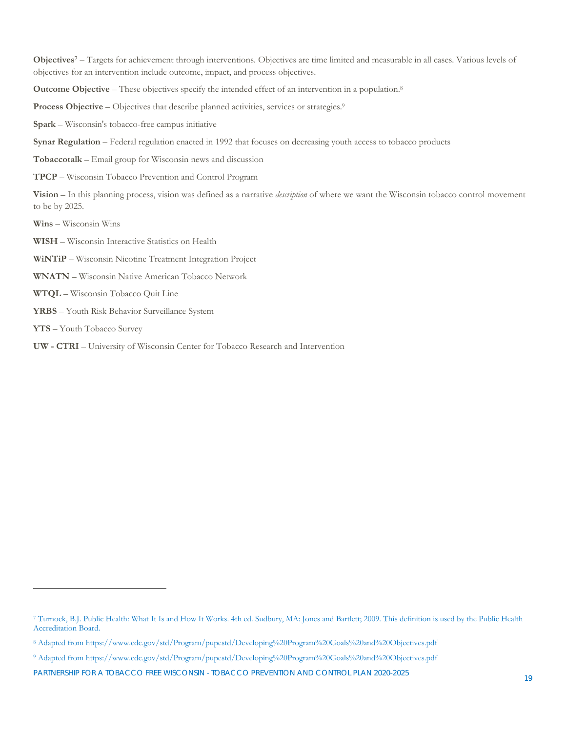**Objectives7** – Targets for achievement through interventions. Objectives are time limited and measurable in all cases. Various levels of objectives for an intervention include outcome, impact, and process objectives.

**Outcome Objective – These objectives specify the intended effect of an intervention in a population.<sup>8</sup>** 

Process Objective – Objectives that describe planned activities, services or strategies.<sup>9</sup>

**Spark** – Wisconsin's tobacco-free campus initiative

**Synar Regulation** – Federal regulation enacted in 1992 that focuses on decreasing youth access to tobacco products

**Tobaccotalk** – Email group for Wisconsin news and discussion

**TPCP** – Wisconsin Tobacco Prevention and Control Program

**Vision** – In this planning process, vision was defined as a narrative *description* of where we want the Wisconsin tobacco control movement to be by 2025.

**Wins** – Wisconsin Wins

**WISH** – Wisconsin Interactive Statistics on Health

- **WiNTiP** Wisconsin Nicotine Treatment Integration Project
- **WNATN**  Wisconsin Native American Tobacco Network
- **WTQL**  Wisconsin Tobacco Quit Line
- **YRBS**  Youth Risk Behavior Surveillance System
- **YTS** Youth Tobacco Survey

 $\overline{a}$ 

**UW - CTRI** – University of Wisconsin Center for Tobacco Research and Intervention

<sup>7</sup> Turnock, B.J. Public Health: What It Is and How It Works. 4th ed. Sudbury, MA: Jones and Bartlett; 2009. This definition is used by the Public Health Accreditation Board.

<sup>8</sup> Adapted from https://www.cdc.gov/std/Program/pupestd/Developing%20Program%20Goals%20and%20Objectives.pdf

<sup>9</sup> Adapted from https://www.cdc.gov/std/Program/pupestd/Developing%20Program%20Goals%20and%20Objectives.pdf

PARTNERSHIP FOR A TOBACCO FREE WISCONSIN - TOBACCO PREVENTION AND CONTROL PLAN 2020-2025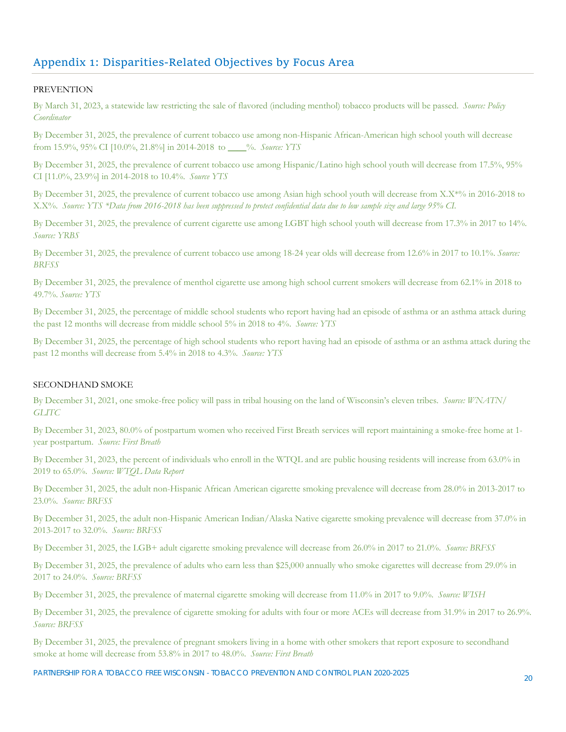#### Appendix 1: Disparities‐Related Objectives by Focus Area

#### PREVENTION

By March 31, 2023, a statewide law restricting the sale of flavored (including menthol) tobacco products will be passed. *Source: Policy Coordinator*

By December 31, 2025, the prevalence of current tobacco use among non-Hispanic African-American high school youth will decrease from 15.9%, 95% CI [10.0%, 21.8%] in 2014-2018 to \_\_\_\_%. *Source: YTS*

By December 31, 2025, the prevalence of current tobacco use among Hispanic/Latino high school youth will decrease from 17.5%, 95% CI [11.0%, 23.9%] in 2014-2018 to 10.4%. *Source YTS*

By December 31, 2025, the prevalence of current tobacco use among Asian high school youth will decrease from X.X\*% in 2016-2018 to X.X%. *Source: YTS \*Data from 2016-2018 has been suppressed to protect confidential data due to low sample size and large 95% CI.* 

By December 31, 2025, the prevalence of current cigarette use among LGBT high school youth will decrease from 17.3% in 2017 to 14%. *Source: YRBS*

By December 31, 2025, the prevalence of current tobacco use among 18-24 year olds will decrease from 12.6% in 2017 to 10.1%. *Source: BRFSS* 

By December 31, 2025, the prevalence of menthol cigarette use among high school current smokers will decrease from 62.1% in 2018 to 49.7%. *Source: YTS*

By December 31, 2025, the percentage of middle school students who report having had an episode of asthma or an asthma attack during the past 12 months will decrease from middle school 5% in 2018 to 4%. *Source: YTS*

By December 31, 2025, the percentage of high school students who report having had an episode of asthma or an asthma attack during the past 12 months will decrease from 5.4% in 2018 to 4.3%. *Source: YTS*

#### SECONDHAND SMOKE

By December 31, 2021, one smoke-free policy will pass in tribal housing on the land of Wisconsin's eleven tribes. *Source: WNATN/ GLITC*

By December 31, 2023, 80.0% of postpartum women who received First Breath services will report maintaining a smoke-free home at 1 year postpartum. *Source: First Breath*

By December 31, 2023, the percent of individuals who enroll in the WTQL and are public housing residents will increase from 63.0% in 2019 to 65.0%. *Source: WTQL Data Report*

By December 31, 2025, the adult non-Hispanic African American cigarette smoking prevalence will decrease from 28.0% in 2013-2017 to 23.0%. *Source: BRFSS*

By December 31, 2025, the adult non-Hispanic American Indian/Alaska Native cigarette smoking prevalence will decrease from 37.0% in 2013-2017 to 32.0%. *Source: BRFSS*

By December 31, 2025, the LGB+ adult cigarette smoking prevalence will decrease from 26.0% in 2017 to 21.0%. *Source: BRFSS*

By December 31, 2025, the prevalence of adults who earn less than \$25,000 annually who smoke cigarettes will decrease from 29.0% in 2017 to 24.0%. *Source: BRFSS*

By December 31, 2025, the prevalence of maternal cigarette smoking will decrease from 11.0% in 2017 to 9.0%. *Source: WISH*

By December 31, 2025, the prevalence of cigarette smoking for adults with four or more ACEs will decrease from 31.9% in 2017 to 26.9%. *Source: BRFSS*

By December 31, 2025, the prevalence of pregnant smokers living in a home with other smokers that report exposure to secondhand smoke at home will decrease from 53.8% in 2017 to 48.0%. *Source: First Breath*

PARTNERSHIP FOR A TOBACCO FREE WISCONSIN - TOBACCO PREVENTION AND CONTROL PLAN 2020-2025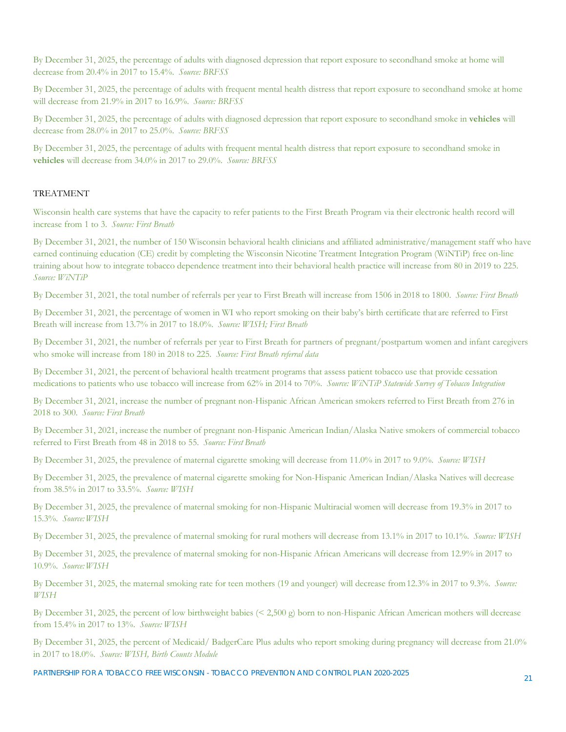By December 31, 2025, the percentage of adults with diagnosed depression that report exposure to secondhand smoke at home will decrease from 20.4% in 2017 to 15.4%. *Source: BRFSS*

By December 31, 2025, the percentage of adults with frequent mental health distress that report exposure to secondhand smoke at home will decrease from 21.9% in 2017 to 16.9%. *Source: BRFSS*

By December 31, 2025, the percentage of adults with diagnosed depression that report exposure to secondhand smoke in **vehicles** will decrease from 28.0% in 2017 to 25.0%. *Source: BRFSS*

By December 31, 2025, the percentage of adults with frequent mental health distress that report exposure to secondhand smoke in **vehicles** will decrease from 34.0% in 2017 to 29.0%. *Source: BRFSS*

#### **TREATMENT**

Wisconsin health care systems that have the capacity to refer patients to the First Breath Program via their electronic health record will increase from 1 to 3. *Source: First Breath*

By December 31, 2021, the number of 150 Wisconsin behavioral health clinicians and affiliated administrative/management staff who have earned continuing education (CE) credit by completing the Wisconsin Nicotine Treatment Integration Program (WiNTiP) free on-line training about how to integrate tobacco dependence treatment into their behavioral health practice will increase from 80 in 2019 to 225. *Source: WiNTiP*

By December 31, 2021, the total number of referrals per year to First Breath will increase from 1506 in 2018 to 1800. *Source: First Breath*

By December 31, 2021, the percentage of women in WI who report smoking on their baby's birth certificate that are referred to First Breath will increase from 13.7% in 2017 to 18.0%.*Source: WISH; First Breath*

By December 31, 2021, the number of referrals per year to First Breath for partners of pregnant/postpartum women and infant caregivers who smoke will increase from 180 in 2018 to 225.*Source: First Breath referral data*

By December 31, 2021, the percent of behavioral health treatment programs that assess patient tobacco use that provide cessation medications to patients who use tobacco will increase from 62% in 2014 to 70%.*Source: WiNTiP Statewide Survey of Tobacco Integration*

By December 31, 2021, increase the number of pregnant non-Hispanic African American smokers referred to First Breath from 276 in 2018 to 300. *Source: First Breath*

By December 31, 2021, increase the number of pregnant non-Hispanic American Indian/Alaska Native smokers of commercial tobacco referred to First Breath from 48 in 2018 to 55. *Source: First Breath*

By December 31, 2025, the prevalence of maternal cigarette smoking will decrease from 11.0% in 2017 to 9.0%. *Source: WISH*

By December 31, 2025, the prevalence of maternal cigarette smoking for Non-Hispanic American Indian/Alaska Natives will decrease from 38.5% in 2017 to 33.5%. *Source: WISH*

By December 31, 2025, the prevalence of maternal smoking for non-Hispanic Multiracial women will decrease from 19.3% in 2017 to 15.3%. *Source: WISH*

By December 31, 2025, the prevalence of maternal smoking for rural mothers will decrease from 13.1% in 2017 to 10.1%. *Source: WISH*

By December 31, 2025, the prevalence of maternal smoking for non-Hispanic African Americans will decrease from 12.9% in 2017 to 10.9%. *Source: WISH*

By December 31, 2025, the maternal smoking rate for teen mothers (19 and younger) will decrease from 12.3% in 2017 to 9.3%. *Source: WISH*

By December 31, 2025, the percent of low birthweight babies (< 2,500 g) born to non-Hispanic African American mothers will decrease from 15.4% in 2017 to 13%. *Source: WISH*

By December 31, 2025, the percent of Medicaid/ BadgerCare Plus adults who report smoking during pregnancy will decrease from 21.0% in 2017 to 18.0%. *Source: WISH, Birth Counts Module*

PARTNERSHIP FOR A TOBACCO FREE WISCONSIN - TOBACCO PREVENTION AND CONTROL PLAN 2020-2025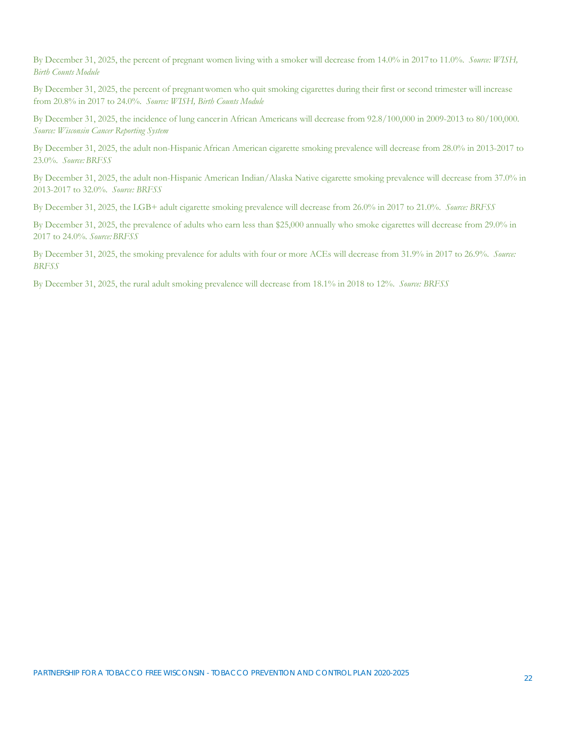By December 31, 2025, the percent of pregnant women living with a smoker will decrease from 14.0% in 2017 to 11.0%. *Source: WISH, Birth Counts Module*

By December 31, 2025, the percent of pregnant women who quit smoking cigarettes during their first or second trimester will increase from 20.8% in 2017 to 24.0%. *Source: WISH, Birth Counts Module*

By December 31, 2025, the incidence of lung cancer in African Americans will decrease from 92.8/100,000 in 2009-2013 to 80/100,000. *Source: Wisconsin Cancer Reporting System*

By December 31, 2025, the adult non-Hispanic African American cigarette smoking prevalence will decrease from 28.0% in 2013-2017 to 23.0%. *Source: BRFSS*

By December 31, 2025, the adult non-Hispanic American Indian/Alaska Native cigarette smoking prevalence will decrease from 37.0% in 2013-2017 to 32.0%. *Source: BRFSS*

By December 31, 2025, the LGB+ adult cigarette smoking prevalence will decrease from 26.0% in 2017 to 21.0%. *Source: BRFSS*

By December 31, 2025, the prevalence of adults who earn less than \$25,000 annually who smoke cigarettes will decrease from 29.0% in 2017 to 24.0%*. Source: BRFSS*

By December 31, 2025, the smoking prevalence for adults with four or more ACEs will decrease from 31.9% in 2017 to 26.9%. *Source: BRFSS*

By December 31, 2025, the rural adult smoking prevalence will decrease from 18.1% in 2018 to 12%. *Source: BRFSS*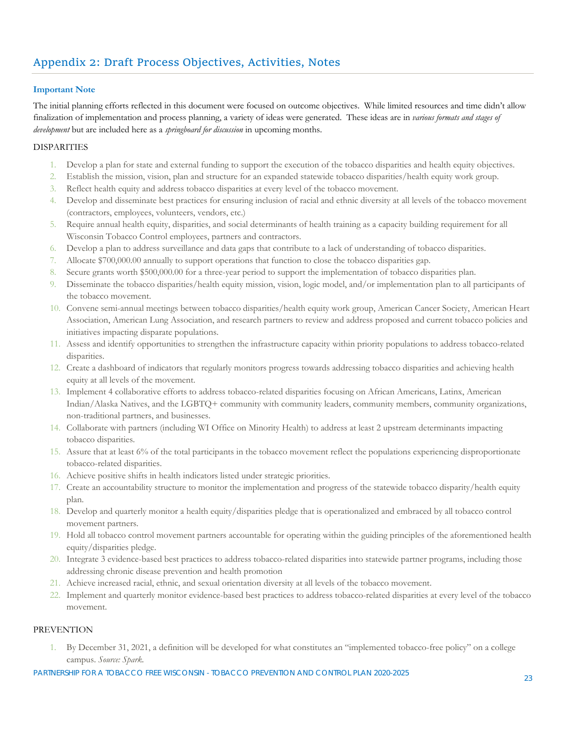#### **Important Note**

The initial planning efforts reflected in this document were focused on outcome objectives. While limited resources and time didn't allow finalization of implementation and process planning, a variety of ideas were generated. These ideas are in *various formats and stages of development* but are included here as a *springboard for discussion* in upcoming months.

#### **DISPARITIES**

- 1. Develop a plan for state and external funding to support the execution of the tobacco disparities and health equity objectives.
- 2. Establish the mission, vision, plan and structure for an expanded statewide tobacco disparities/health equity work group.
- 3. Reflect health equity and address tobacco disparities at every level of the tobacco movement.
- 4. Develop and disseminate best practices for ensuring inclusion of racial and ethnic diversity at all levels of the tobacco movement (contractors, employees, volunteers, vendors, etc.)
- 5. Require annual health equity, disparities, and social determinants of health training as a capacity building requirement for all Wisconsin Tobacco Control employees, partners and contractors.
- 6. Develop a plan to address surveillance and data gaps that contribute to a lack of understanding of tobacco disparities.
- 7. Allocate \$700,000.00 annually to support operations that function to close the tobacco disparities gap.
- 8. Secure grants worth \$500,000.00 for a three-year period to support the implementation of tobacco disparities plan.
- 9. Disseminate the tobacco disparities/health equity mission, vision, logic model, and/or implementation plan to all participants of the tobacco movement.
- 10. Convene semi-annual meetings between tobacco disparities/health equity work group, American Cancer Society, American Heart Association, American Lung Association, and research partners to review and address proposed and current tobacco policies and initiatives impacting disparate populations.
- 11. Assess and identify opportunities to strengthen the infrastructure capacity within priority populations to address tobacco-related disparities.
- 12. Create a dashboard of indicators that regularly monitors progress towards addressing tobacco disparities and achieving health equity at all levels of the movement.
- 13. Implement 4 collaborative efforts to address tobacco-related disparities focusing on African Americans, Latinx, American Indian/Alaska Natives, and the LGBTQ+ community with community leaders, community members, community organizations, non-traditional partners, and businesses.
- 14. Collaborate with partners (including WI Office on Minority Health) to address at least 2 upstream determinants impacting tobacco disparities.
- 15. Assure that at least 6% of the total participants in the tobacco movement reflect the populations experiencing disproportionate tobacco-related disparities.
- 16. Achieve positive shifts in health indicators listed under strategic priorities.
- 17. Create an accountability structure to monitor the implementation and progress of the statewide tobacco disparity/health equity plan.
- 18. Develop and quarterly monitor a health equity/disparities pledge that is operationalized and embraced by all tobacco control movement partners.
- 19. Hold all tobacco control movement partners accountable for operating within the guiding principles of the aforementioned health equity/disparities pledge.
- 20. Integrate 3 evidence-based best practices to address tobacco-related disparities into statewide partner programs, including those addressing chronic disease prevention and health promotion
- 21. Achieve increased racial, ethnic, and sexual orientation diversity at all levels of the tobacco movement.
- 22. Implement and quarterly monitor evidence-based best practices to address tobacco-related disparities at every level of the tobacco movement.

#### PREVENTION

1. By December 31, 2021, a definition will be developed for what constitutes an "implemented tobacco-free policy" on a college campus. *Source: Spark.*

PARTNERSHIP FOR A TOBACCO FREE WISCONSIN - TOBACCO PREVENTION AND CONTROL PLAN 2020-2025